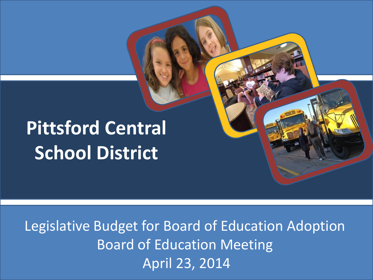# **Pittsford Central School District**

Legislative Budget for Board of Education Adoption Board of Education Meeting April 23, 2014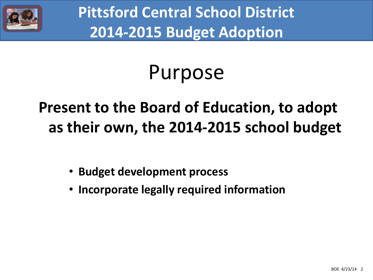

# Purpose

## **Present to the Board of Education, to adopt as their own, the 2014-2015 school budget**

- **Budget development process**
- **Incorporate legally required information**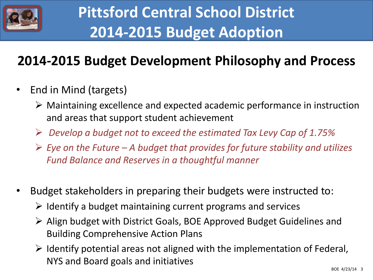

### **2014-2015 Budget Development Philosophy and Process**

- End in Mind (targets)
	- $\triangleright$  Maintaining excellence and expected academic performance in instruction and areas that support student achievement
	- *Develop a budget not to exceed the estimated Tax Levy Cap of 1.75%*
	- *Eye on the Future – A budget that provides for future stability and utilizes Fund Balance and Reserves in a thoughtful manner*
- Budget stakeholders in preparing their budgets were instructed to:
	- $\triangleright$  Identify a budget maintaining current programs and services
	- Align budget with District Goals, BOE Approved Budget Guidelines and Building Comprehensive Action Plans
	- $\triangleright$  Identify potential areas not aligned with the implementation of Federal, NYS and Board goals and initiatives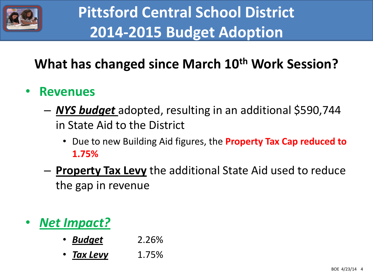

### **What has changed since March 10th Work Session?**

#### • **Revenues**

- *NYS budget* adopted, resulting in an additional \$590,744 in State Aid to the District
	- Due to new Building Aid figures, the **Property Tax Cap reduced to 1.75%**
- **Property Tax Levy** the additional State Aid used to reduce the gap in revenue

• *Net Impact?*

- *Budget* 2.26%
- *Tax Levy* 1.75%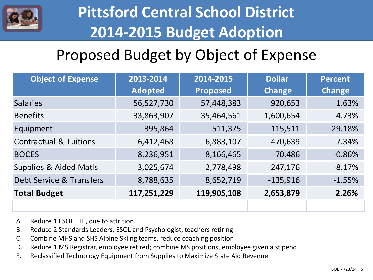

## Proposed Budget by Object of Expense

| <b>Object of Expense</b>          | 2013-2014      | 2014-2015       | <b>Dollar</b> | <b>Percent</b> |
|-----------------------------------|----------------|-----------------|---------------|----------------|
|                                   | <b>Adopted</b> | <b>Proposed</b> | <b>Change</b> | <b>Change</b>  |
| <b>Salaries</b>                   | 56,527,730     | 57,448,383      | 920,653       | 1.63%          |
| <b>Benefits</b>                   | 33,863,907     | 35,464,561      | 1,600,654     | 4.73%          |
| Equipment                         | 395,864        | 511,375         | 115,511       | 29.18%         |
| <b>Contractual &amp; Tuitions</b> | 6,412,468      | 6,883,107       | 470,639       | 7.34%          |
| <b>BOCES</b>                      | 8,236,951      | 8,166,465       | $-70,486$     | $-0.86%$       |
| Supplies & Aided Matls            | 3,025,674      | 2,778,498       | $-247,176$    | $-8.17%$       |
| Debt Service & Transfers          | 8,788,635      | 8,652,719       | $-135,916$    | $-1.55%$       |
| <b>Total Budget</b>               | 117,251,229    | 119,905,108     | 2,653,879     | 2.26%          |
|                                   |                |                 |               |                |

- A. Reduce 1 ESOL FTE, due to attrition
- B. Reduce 2 Standards Leaders, ESOL and Psychologist, teachers retiring
- C. Combine MHS and SHS Alpine Skiing teams, reduce coaching position
- D. Reduce 1 MS Registrar, employee retired; combine MS positions, employee given a stipend
- E. Reclassified Technology Equipment from Supplies to Maximize State Aid Revenue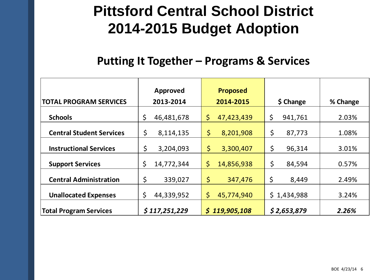#### **Putting It Together – Programs & Services**

|                                 | Approved         | <b>Proposed</b>   |               |          |
|---------------------------------|------------------|-------------------|---------------|----------|
| <b>TOTAL PROGRAM SERVICES</b>   | 2013-2014        | 2014-2015         | \$ Change     | % Change |
| <b>Schools</b>                  | \$<br>46,481,678 | \$<br>47,423,439  | \$<br>941,761 | 2.03%    |
| <b>Central Student Services</b> | \$<br>8,114,135  | \$<br>8,201,908   | \$<br>87,773  | 1.08%    |
| <b>Instructional Services</b>   | \$<br>3,204,093  | \$<br>3,300,407   | \$<br>96,314  | 3.01%    |
| <b>Support Services</b>         | \$<br>14,772,344 | \$.<br>14,856,938 | \$<br>84,594  | 0.57%    |
| <b>Central Administration</b>   | \$<br>339,027    | \$<br>347,476     | \$<br>8,449   | 2.49%    |
| <b>Unallocated Expenses</b>     | \$<br>44,339,952 | \$<br>45,774,940  | \$1,434,988   | 3.24%    |
| <b>Total Program Services</b>   | \$117,251,229    | \$119,905,108     | \$2,653,879   | 2.26%    |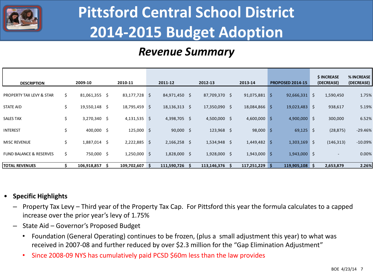

#### *Revenue Summary*

| <b>DESCRIPTION</b>                  |     | 2009-10         |    | 2010-11        | 2011-12         | 2012-13        |   | 2013-14        |              | <b>PROPOSED 2014-15</b> | \$ INCREASE<br>(DECREASE) | % INCREASE<br>(DECREASE) |
|-------------------------------------|-----|-----------------|----|----------------|-----------------|----------------|---|----------------|--------------|-------------------------|---------------------------|--------------------------|
| <b>PROPERTY TAX LEVY &amp; STAR</b> | \$. | $81,061,355$ \$ |    | 83,177,728 \$  | 84,971,450 \$   | 87,709,370 \$  |   | 91,075,881     | Ŝ.           | $92,666,331$ \$         | 1,590,450                 | 1.75%                    |
| <b>STATE AID</b>                    | \$. | 19,550,148      | S. | 18,795,459 \$  | $18,136,313$ \$ | 17,350,090 \$  |   | 18,084,866     | <sub>S</sub> | $19,023,483$ \$         | 938,617                   | 5.19%                    |
| <b>SALES TAX</b>                    | \$. | 3,270,340 \$    |    | $4,131,535$ \$ | 4,398,705 \$    | $4,500,000$ \$ |   | 4,600,000      | Ŝ.           | $4,900,000$ \$          | 300,000                   | 6.52%                    |
| <b>INTEREST</b>                     | \$  | $400,000$ \$    |    | $125,000$ \$   | $90,000$ \$     | 123,968 \$     |   | $98,000$ \$    |              | $69,125$ \$             | (28, 875)                 | $-29.46%$                |
| <b>MISC REVENUE</b>                 | Ś.  | 1,887,014       | Ŝ. | $2,222,885$ \$ | $2,166,258$ \$  | $1,534,948$ \$ |   | $1,449,482$ \$ |              | $1,303,169$ \$          | (146, 313)                | $-10.09%$                |
| <b>FUND BALANCE &amp; RESERVES</b>  | \$. | 750,000 \$      |    | $1,250,000$ \$ | 1,828,000 \$    | $1,928,000$ \$ |   | $1,943,000$ \$ |              | $1,943,000$ \$          |                           | 0.00%                    |
| <b>TOTAL REVENUES</b>               |     | 106,918,857     | Ŝ. | 109,702,607 \$ | 111,590,726     | 113,146,376    | Ŝ | 117,251,229    | Ŝ.           | 119,905,108 \$          | 2,653,879                 | 2.26%                    |

#### • **Specific Highlights**

- Property Tax Levy Third year of the Property Tax Cap. For Pittsford this year the formula calculates to a capped increase over the prior year's levy of 1.75%
- State Aid Governor's Proposed Budget
	- Foundation (General Operating) continues to be frozen, (plus a small adjustment this year) to what was received in 2007-08 and further reduced by over \$2.3 million for the "Gap Elimination Adjustment"
	- Since 2008-09 NYS has cumulatively paid PCSD \$60m less than the law provides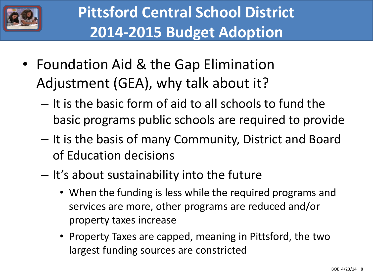

- Foundation Aid & the Gap Elimination Adjustment (GEA), why talk about it?
	- It is the basic form of aid to all schools to fund the basic programs public schools are required to provide
	- It is the basis of many Community, District and Board of Education decisions
	- It's about sustainability into the future
		- When the funding is less while the required programs and services are more, other programs are reduced and/or property taxes increase
		- Property Taxes are capped, meaning in Pittsford, the two largest funding sources are constricted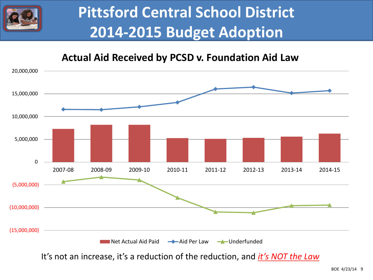

#### **Actual Aid Received by PCSD v. Foundation Aid Law**



It's not an increase, it's a reduction of the reduction, and *it's NOT the Law*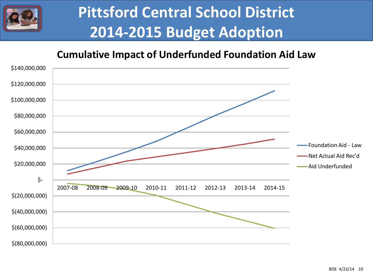

#### **Cumulative Impact of Underfunded Foundation Aid Law**

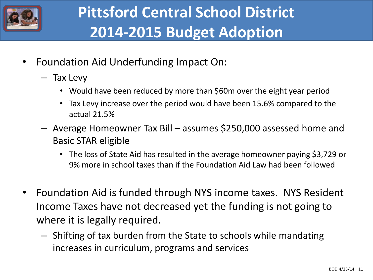

- Foundation Aid Underfunding Impact On:
	- Tax Levy
		- Would have been reduced by more than \$60m over the eight year period
		- Tax Levy increase over the period would have been 15.6% compared to the actual 21.5%
	- Average Homeowner Tax Bill assumes \$250,000 assessed home and Basic STAR eligible
		- The loss of State Aid has resulted in the average homeowner paying \$3,729 or 9% more in school taxes than if the Foundation Aid Law had been followed
- Foundation Aid is funded through NYS income taxes. NYS Resident Income Taxes have not decreased yet the funding is not going to where it is legally required.
	- Shifting of tax burden from the State to schools while mandating increases in curriculum, programs and services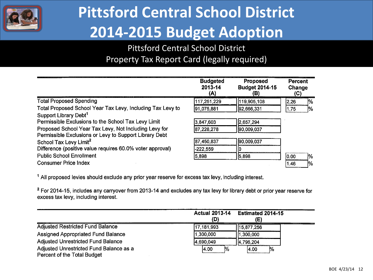

#### Pittsford Central School District Property Tax Report Card (legally required)

|                                                            | <b>Budgeted</b><br>2013-14<br>(A) | <b>Proposed</b><br><b>Budget 2014-15</b><br>(B) | <b>Percent</b><br>Change<br>(C) |               |
|------------------------------------------------------------|-----------------------------------|-------------------------------------------------|---------------------------------|---------------|
| <b>Total Proposed Spending</b>                             | 117,251,229                       | 119,905,108                                     | 2.26                            | 1%            |
| Total Proposed School Year Tax Levy, Including Tax Levy to | 91,075,881                        | 92,666,331                                      | 1.75                            | $\frac{1}{2}$ |
| Support Library Debt <sup>1</sup>                          |                                   |                                                 |                                 |               |
| Permissible Exclusions to the School Tax Levy Limit        | 3,847,603                         | 2,657,294                                       |                                 |               |
| Proposed School Year Tax Levy, Not Including Levy for      | 87,228,278                        | 190,009,037                                     |                                 |               |
| Permissible Exclusions or Levy to Support Library Debt     |                                   |                                                 |                                 |               |
| School Tax Levy Limit <sup>2</sup>                         | 87,450,837                        | 90,009,037                                      |                                 |               |
| Difference (positive value requires 60.0% voter approval)  | $-222,559$                        |                                                 |                                 |               |
| <b>Public School Enrollment</b>                            | 5,898                             | 5,898                                           | 0.00                            | 1%            |
| <b>Consumer Price Index</b>                                |                                   |                                                 | 1.46                            | 1%            |

<sup>1</sup> All proposed levies should exclude any prior year reserve for excess tax levy, including interest.

<sup>2</sup> For 2014-15, includes any carryover from 2013-14 and excludes any tax levy for library debt or prior year reserve for excess tax levy, including interest.

|                                                                        | (D)           | Actual 2013-14 Estimated 2014-15<br>E) |
|------------------------------------------------------------------------|---------------|----------------------------------------|
| Adjusted Restricted Fund Balance                                       | 17,181,993    | 15,877,256                             |
| <b>Assigned Appropriated Fund Balance</b>                              | 1,300,000     | 1,300,000                              |
| <b>Adjusted Unrestricted Fund Balance</b>                              | 4,690,049     | 4,796,204                              |
| Adjusted Unrestricted Fund Balance as a<br>Percent of the Total Budget | $\%$<br>14.00 | þ%<br>4.00                             |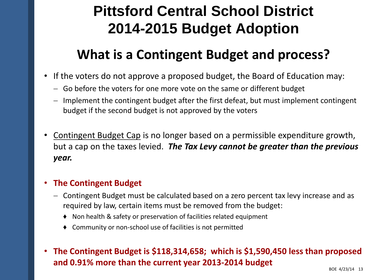#### **What is a Contingent Budget and process?**

- If the voters do not approve a proposed budget, the Board of Education may:
	- Go before the voters for one more vote on the same or different budget
	- Implement the contingent budget after the first defeat, but must implement contingent budget if the second budget is not approved by the voters
- Contingent Budget Cap is no longer based on a permissible expenditure growth, but a cap on the taxes levied. *The Tax Levy cannot be greater than the previous year.*

#### • **The Contingent Budget**

- Contingent Budget must be calculated based on a zero percent tax levy increase and as required by law, certain items must be removed from the budget:
	- ♦ Non health & safety or preservation of facilities related equipment
	- ♦ Community or non-school use of facilities is not permitted
- **The Contingent Budget is \$118,314,658; which is \$1,590,450 less than proposed and 0.91% more than the current year 2013-2014 budget**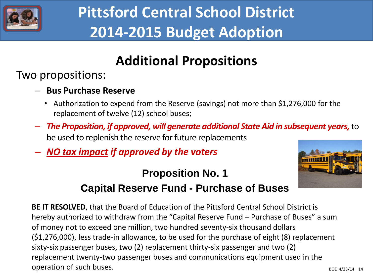

#### **Additional Propositions**

Two propositions:

- **Bus Purchase Reserve**
	- Authorization to expend from the Reserve (savings) not more than \$1,276,000 for the replacement of twelve (12) school buses;
- *The Proposition, if approved, will generate additional State Aid in subsequent years,* to be used to replenish the reserve for future replacements
- *NO tax impact if approved by the voters*

#### **Proposition No. 1**



#### **Capital Reserve Fund - Purchase of Buses**

**BE IT RESOLVED**, that the Board of Education of the Pittsford Central School District is hereby authorized to withdraw from the "Capital Reserve Fund – Purchase of Buses" a sum of money not to exceed one million, two hundred seventy-six thousand dollars (\$1,276,000), less trade-in allowance, to be used for the purchase of eight (8) replacement sixty-six passenger buses, two (2) replacement thirty-six passenger and two (2) replacement twenty-two passenger buses and communications equipment used in the operation of such buses.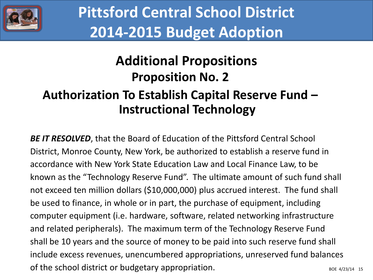

### **Additional Propositions Proposition No. 2**

#### **Authorization To Establish Capital Reserve Fund – Instructional Technology**

BOE 4/23/14 15 **BE IT RESOLVED**, that the Board of Education of the Pittsford Central School District, Monroe County, New York, be authorized to establish a reserve fund in accordance with New York State Education Law and Local Finance Law, to be known as the "Technology Reserve Fund". The ultimate amount of such fund shall not exceed ten million dollars (\$10,000,000) plus accrued interest. The fund shall be used to finance, in whole or in part, the purchase of equipment, including computer equipment (i.e. hardware, software, related networking infrastructure and related peripherals). The maximum term of the Technology Reserve Fund shall be 10 years and the source of money to be paid into such reserve fund shall include excess revenues, unencumbered appropriations, unreserved fund balances of the school district or budgetary appropriation.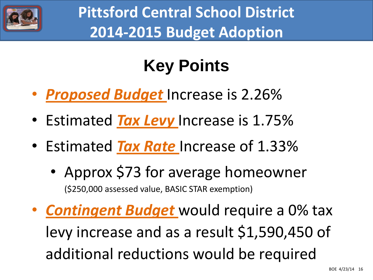

# **Key Points**

- *Proposed Budget* Increase is 2.26%
- Estimated *Tax Levy* Increase is 1.75%
- Estimated *Tax Rate* Increase of 1.33%
	- Approx \$73 for average homeowner (\$250,000 assessed value, BASIC STAR exemption)
- *Contingent Budget* would require a 0% tax levy increase and as a result \$1,590,450 of additional reductions would be required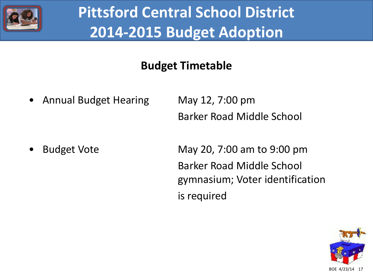

#### **Budget Timetable**

• Annual Budget Hearing May 12, 7:00 pm

Barker Road Middle School

• Budget Vote May 20, 7:00 am to 9:00 pm Barker Road Middle School gymnasium; Voter identification is required

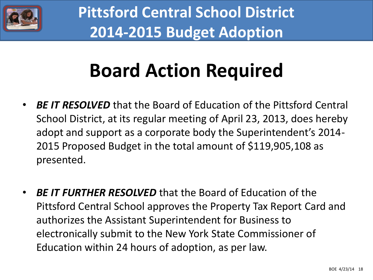

# **Board Action Required**

- *BE IT RESOLVED* that the Board of Education of the Pittsford Central School District, at its regular meeting of April 23, 2013, does hereby adopt and support as a corporate body the Superintendent's 2014- 2015 Proposed Budget in the total amount of \$119,905,108 as presented.
- *BE IT FURTHER RESOLVED* that the Board of Education of the Pittsford Central School approves the Property Tax Report Card and authorizes the Assistant Superintendent for Business to electronically submit to the New York State Commissioner of Education within 24 hours of adoption, as per law.